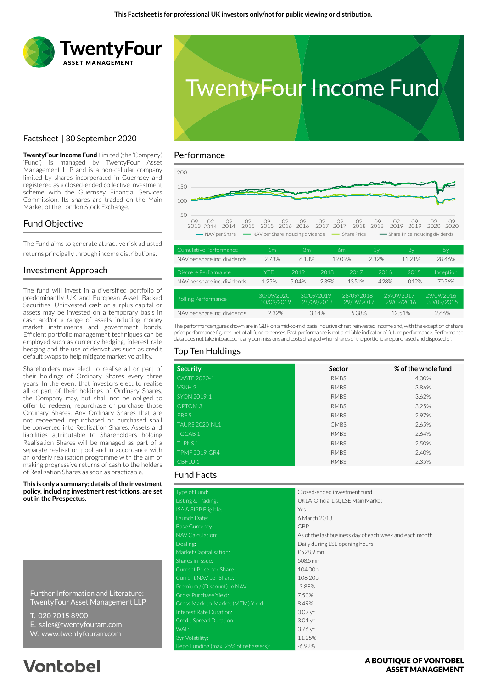



## Factsheet | 30 September 2020

**TwentyFour Income Fund** Limited (the 'Company', 'Fund') is managed by TwentyFour Asset Management LLP and is a non-cellular company limited by shares incorporated in Guernsey and registered as a closed-ended collective investment scheme with the Guernsey Financial Services Commission. Its shares are traded on the Main Market of the London Stock Exchange.

## Fund Objective

The Fund aims to generate attractive risk adjusted returns principally through income distributions.

### Investment Approach

The fund will invest in a diversified portfolio of predominantly UK and European Asset Backed Securities. Uninvested cash or surplus capital or assets may be invested on a temporary basis in cash and/or a range of assets including money market instruments and government bonds. Efficient portfolio management techniques can be employed such as currency hedging, interest rate hedging and the use of derivatives such as credit default swaps to help mitigate market volatility.

Shareholders may elect to realise all or part of their holdings of Ordinary Shares every three years. In the event that investors elect to realise all or part of their holdings of Ordinary Shares, the Company may, but shall not be obliged to offer to redeem, repurchase or purchase those Ordinary Shares. Any Ordinary Shares that are not redeemed, repurchased or purchased shall be converted into Realisation Shares. Assets and liabilities attributable to Shareholders holding Realisation Shares will be managed as part of a separate realisation pool and in accordance with an orderly realisation programme with the aim of making progressive returns of cash to the holders of Realisation Shares as soon as practicable.

**This is only a summary; details of the investment policy, including investment restrictions, are set out in the Prospectus.**

Further Information and Literature: TwentyFour Asset Management LLP

- T. 020 7015 8900
- E. sales@twentyfouram.com
- W. www.twentyfouram.com

# **Vontobel**

### Performance



| Cumulative Performance       | 1 <sub>m</sub>               | 3m    |                              | 6m                         | 1ν    | 3y                           | 5y                           |
|------------------------------|------------------------------|-------|------------------------------|----------------------------|-------|------------------------------|------------------------------|
| NAV per share inc. dividends | 2.73%                        | 6.13% |                              | 19.09%                     | 2.32% | 11.21%                       | 28.46%                       |
| Discrete Performance         | YTD                          | 2019  | 2018                         | 2017                       | 2016  | 2015                         | Inception                    |
| NAV per share inc. dividends | 1.25%                        | 5.04% | 2.39%                        | 13.51%                     | 4.28% | $-0.12%$                     | 70.56%                       |
| Rolling Performance          | $30/09/2020 -$<br>30/09/2019 |       | $30/09/2019 -$<br>28/09/2018 | 28/09/2018 -<br>29/09/2017 |       | $29/09/2017 -$<br>29/09/2016 | $29/09/2016 -$<br>30/09/2015 |
| NAV per share inc. dividends | 2.32%                        |       | 3.14%                        | 5.38%                      |       | 12.51%                       | 2.66%                        |

The performance figures shown are in GBP on a mid-to-mid basis inclusive of net reinvested income and, with the exception of share price performance figures, net of all fund expenses. Past performance is not a reliable indicator of future performance. Performance data does not take into account any commissions and costs charged when shares of the portfolio are purchased and disposed of.

### Top Ten Holdings

| <b>Security</b>      | Sector      | % of the whole fund |
|----------------------|-------------|---------------------|
| <b>CASTE 2020-1</b>  | <b>RMBS</b> | 4.00%               |
| VSKH <sub>2</sub>    | <b>RMBS</b> | 3.86%               |
| SYON 2019-1          | <b>RMBS</b> | 3.62%               |
| OPTOM <sub>3</sub>   | <b>RMBS</b> | 3.25%               |
| ERF <sub>5</sub>     | <b>RMBS</b> | 2.97%               |
| TAURS 2020-NL1       | <b>CMBS</b> | 2.65%               |
| TGCAB <sub>1</sub>   | <b>RMBS</b> | 2.64%               |
| <b>TLPNS1</b>        | <b>RMBS</b> | 2.50%               |
| <b>TPMF 2019-GR4</b> | <b>RMBS</b> | 2.40%               |
| CBFLU <sub>1</sub>   | <b>RMBS</b> | 2.35%               |

## Fund Facts

| Type of Fund:                          | Closed-ended investment fund                            |
|----------------------------------------|---------------------------------------------------------|
| Listing & Trading:                     | UKLA Official List; LSE Main Market                     |
| ISA & SIPP Eligible:                   | Yes                                                     |
| Launch Date:                           | 6 March 2013                                            |
| <b>Base Currency:</b>                  | <b>GBP</b>                                              |
| NAV Calculation:                       | As of the last business day of each week and each month |
| Dealing:                               | Daily during LSE opening hours                          |
| Market Capitalisation:                 | £528.9 mn                                               |
| Shares in Issue:                       | 508.5 mn                                                |
| Current Price per Share:               | 104.00p                                                 |
| Current NAV per Share:                 | 108.20p                                                 |
| Premium / (Discount) to NAV:           | $-3.88%$                                                |
| Gross Purchase Yield:                  | 7.53%                                                   |
| Gross Mark-to-Market (MTM) Yield:      | 8.49%                                                   |
| Interest Rate Duration:                | $0.07$ yr                                               |
| Credit Spread Duration:                | 3.01 <sub>yr</sub>                                      |
| WAL:                                   | 3.76 yr                                                 |
| 3yr Volatility:                        | 11.25%                                                  |
| Repo Funding (max. 25% of net assets): | $-6.92%$                                                |

### A BOUTIOUE OF VONTOBEL **ASSET MANAGEMENT**